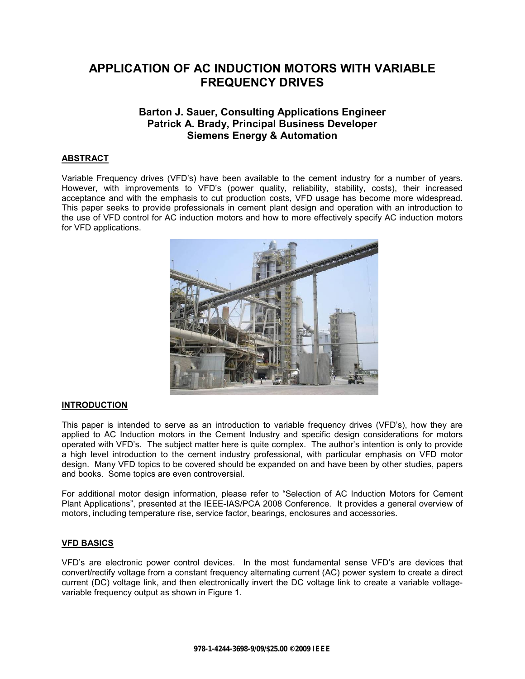# **APPLICATION OF AC INDUCTION MOTORS WITH VARIABLE FREQUENCY DRIVES**

## **Barton J. Sauer, Consulting Applications Engineer Patrick A. Brady, Principal Business Developer Siemens Energy & Automation**

## **ABSTRACT**

Variable Frequency drives (VFD's) have been available to the cement industry for a number of years. However, with improvements to VFD's (power quality, reliability, stability, costs), their increased acceptance and with the emphasis to cut production costs, VFD usage has become more widespread. This paper seeks to provide professionals in cement plant design and operation with an introduction to the use of VFD control for AC induction motors and how to more effectively specify AC induction motors for VFD applications.



#### **INTRODUCTION**

This paper is intended to serve as an introduction to variable frequency drives (VFD's), how they are applied to AC Induction motors in the Cement Industry and specific design considerations for motors operated with VFD's. The subject matter here is quite complex. The author's intention is only to provide a high level introduction to the cement industry professional, with particular emphasis on VFD motor design. Many VFD topics to be covered should be expanded on and have been by other studies, papers and books. Some topics are even controversial.

For additional motor design information, please refer to "Selection of AC Induction Motors for Cement Plant Applications", presented at the IEEE-IAS/PCA 2008 Conference. It provides a general overview of motors, including temperature rise, service factor, bearings, enclosures and accessories.

#### **VFD BASICS**

VFD's are electronic power control devices. In the most fundamental sense VFD's are devices that convert/rectify voltage from a constant frequency alternating current (AC) power system to create a direct current (DC) voltage link, and then electronically invert the DC voltage link to create a variable voltagevariable frequency output as shown in Figure 1.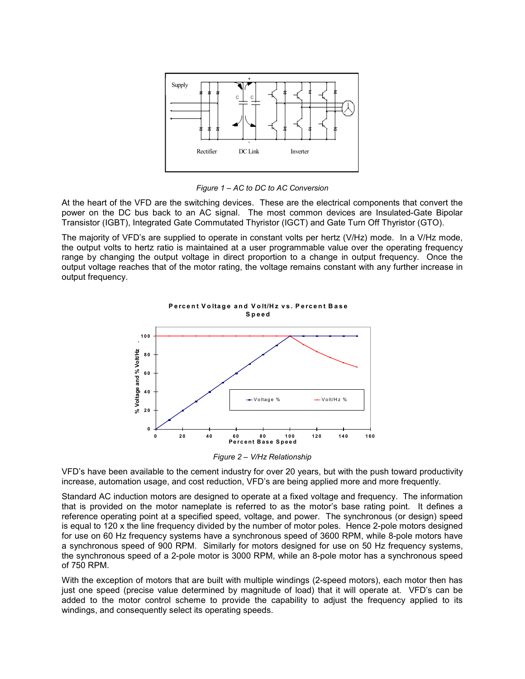

*Figure 1 – AC to DC to AC Conversion*

At the heart of the VFD are the switching devices. These are the electrical components that convert the power on the DC bus back to an AC signal. The most common devices are Insulated-Gate Bipolar Transistor (IGBT), Integrated Gate Commutated Thyristor (IGCT) and Gate Turn Off Thyristor (GTO).

The majority of VFD's are supplied to operate in constant volts per hertz (V/Hz) mode. In a V/Hz mode, the output volts to hertz ratio is maintained at a user programmable value over the operating frequency range by changing the output voltage in direct proportion to a change in output frequency. Once the output voltage reaches that of the motor rating, the voltage remains constant with any further increase in output frequency.



*Figure 2 – V/Hz Relationship* 

VFD's have been available to the cement industry for over 20 years, but with the push toward productivity increase, automation usage, and cost reduction, VFD's are being applied more and more frequently.

Standard AC induction motors are designed to operate at a fixed voltage and frequency. The information that is provided on the motor nameplate is referred to as the motor's base rating point. It defines a reference operating point at a specified speed, voltage, and power. The synchronous (or design) speed is equal to 120 x the line frequency divided by the number of motor poles. Hence 2-pole motors designed for use on 60 Hz frequency systems have a synchronous speed of 3600 RPM, while 8-pole motors have a synchronous speed of 900 RPM. Similarly for motors designed for use on 50 Hz frequency systems, the synchronous speed of a 2-pole motor is 3000 RPM, while an 8-pole motor has a synchronous speed of 750 RPM.

With the exception of motors that are built with multiple windings (2-speed motors), each motor then has just one speed (precise value determined by magnitude of load) that it will operate at. VFD's can be added to the motor control scheme to provide the capability to adjust the frequency applied to its windings, and consequently select its operating speeds.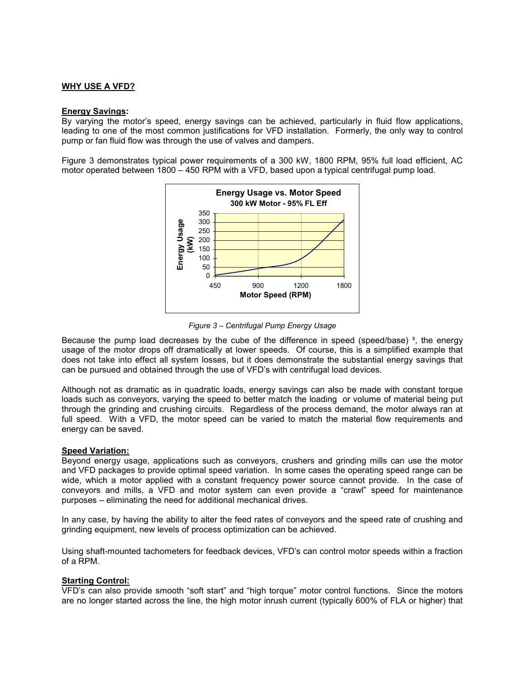#### **WHY USE A VFD?**

#### **Energy Savings:**

By varying the motor's speed, energy savings can be achieved, particularly in fluid flow applications, leading to one of the most common justifications for VFD installation. Formerly, the only way to control pump or fan fluid flow was through the use of valves and dampers.

Figure 3 demonstrates typical power requirements of a 300 kW, 1800 RPM, 95% full load efficient, AC motor operated between 1800 – 450 RPM with a VFD, based upon a typical centrifugal pump load.



*Figure 3 – Centrifugal Pump Energy Usage* 

Because the pump load decreases by the cube of the difference in speed (speed/base)<sup>3</sup>, the energy usage of the motor drops off dramatically at lower speeds. Of course, this is a simplified example that does not take into effect all system losses, but it does demonstrate the substantial energy savings that can be pursued and obtained through the use of VFD's with centrifugal load devices.

Although not as dramatic as in quadratic loads, energy savings can also be made with constant torque loads such as conveyors, varying the speed to better match the loading or volume of material being put through the grinding and crushing circuits. Regardless of the process demand, the motor always ran at full speed. With a VFD, the motor speed can be varied to match the material flow requirements and energy can be saved.

#### **Speed Variation:**

Beyond energy usage, applications such as conveyors, crushers and grinding mills can use the motor and VFD packages to provide optimal speed variation. In some cases the operating speed range can be wide, which a motor applied with a constant frequency power source cannot provide. In the case of conveyors and mills, a VFD and motor system can even provide a "crawl" speed for maintenance purposes – eliminating the need for additional mechanical drives.

In any case, by having the ability to alter the feed rates of conveyors and the speed rate of crushing and grinding equipment, new levels of process optimization can be achieved.

Using shaft-mounted tachometers for feedback devices, VFD's can control motor speeds within a fraction of a RPM.

#### **Starting Control:**

VFD's can also provide smooth "soft start" and "high torque" motor control functions. Since the motors are no longer started across the line, the high motor inrush current (typically 600% of FLA or higher) that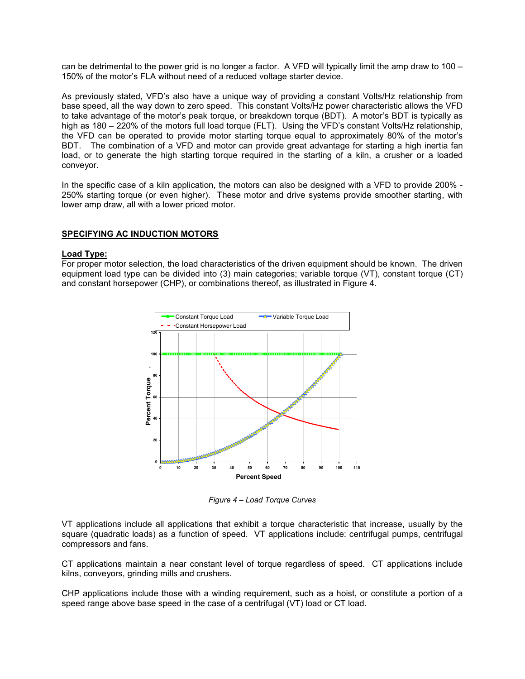can be detrimental to the power grid is no longer a factor. A VFD will typically limit the amp draw to 100 – 150% of the motor's FLA without need of a reduced voltage starter device.

As previously stated, VFD's also have a unique way of providing a constant Volts/Hz relationship from base speed, all the way down to zero speed. This constant Volts/Hz power characteristic allows the VFD to take advantage of the motor's peak torque, or breakdown torque (BDT). A motor's BDT is typically as high as 180 – 220% of the motors full load torque (FLT). Using the VFD's constant Volts/Hz relationship, the VFD can be operated to provide motor starting torque equal to approximately 80% of the motor's BDT. The combination of a VFD and motor can provide great advantage for starting a high inertia fan load, or to generate the high starting torque required in the starting of a kiln, a crusher or a loaded conveyor.

In the specific case of a kiln application, the motors can also be designed with a VFD to provide 200% - 250% starting torque (or even higher). These motor and drive systems provide smoother starting, with lower amp draw, all with a lower priced motor.

#### **SPECIFYING AC INDUCTION MOTORS**

#### **Load Type:**

For proper motor selection, the load characteristics of the driven equipment should be known. The driven equipment load type can be divided into (3) main categories; variable torque (VT), constant torque (CT) and constant horsepower (CHP), or combinations thereof, as illustrated in Figure 4.



*Figure 4 – Load Torque Curves* 

VT applications include all applications that exhibit a torque characteristic that increase, usually by the square (quadratic loads) as a function of speed. VT applications include: centrifugal pumps, centrifugal compressors and fans.

CT applications maintain a near constant level of torque regardless of speed. CT applications include kilns, conveyors, grinding mills and crushers.

CHP applications include those with a winding requirement, such as a hoist, or constitute a portion of a speed range above base speed in the case of a centrifugal (VT) load or CT load.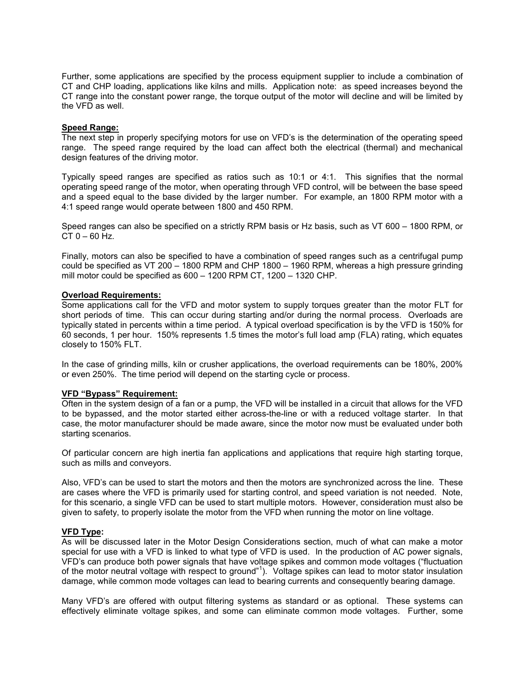Further, some applications are specified by the process equipment supplier to include a combination of CT and CHP loading, applications like kilns and mills. Application note: as speed increases beyond the CT range into the constant power range, the torque output of the motor will decline and will be limited by the VFD as well.

## **Speed Range:**

The next step in properly specifying motors for use on VFD's is the determination of the operating speed range. The speed range required by the load can affect both the electrical (thermal) and mechanical design features of the driving motor.

Typically speed ranges are specified as ratios such as 10:1 or 4:1. This signifies that the normal operating speed range of the motor, when operating through VFD control, will be between the base speed and a speed equal to the base divided by the larger number. For example, an 1800 RPM motor with a 4:1 speed range would operate between 1800 and 450 RPM.

Speed ranges can also be specified on a strictly RPM basis or Hz basis, such as VT 600 – 1800 RPM, or  $CT 0 - 60$  Hz.

Finally, motors can also be specified to have a combination of speed ranges such as a centrifugal pump could be specified as VT 200 – 1800 RPM and CHP 1800 – 1960 RPM, whereas a high pressure grinding mill motor could be specified as 600 – 1200 RPM CT, 1200 – 1320 CHP.

#### **Overload Requirements:**

Some applications call for the VFD and motor system to supply torques greater than the motor FLT for short periods of time. This can occur during starting and/or during the normal process. Overloads are typically stated in percents within a time period. A typical overload specification is by the VFD is 150% for 60 seconds, 1 per hour. 150% represents 1.5 times the motor's full load amp (FLA) rating, which equates closely to 150% FLT.

In the case of grinding mills, kiln or crusher applications, the overload requirements can be 180%, 200% or even 250%. The time period will depend on the starting cycle or process.

#### **VFD "Bypass" Requirement:**

Often in the system design of a fan or a pump, the VFD will be installed in a circuit that allows for the VFD to be bypassed, and the motor started either across-the-line or with a reduced voltage starter. In that case, the motor manufacturer should be made aware, since the motor now must be evaluated under both starting scenarios.

Of particular concern are high inertia fan applications and applications that require high starting torque, such as mills and conveyors.

Also, VFD's can be used to start the motors and then the motors are synchronized across the line. These are cases where the VFD is primarily used for starting control, and speed variation is not needed. Note, for this scenario, a single VFD can be used to start multiple motors. However, consideration must also be given to safety, to properly isolate the motor from the VFD when running the motor on line voltage.

#### **VFD Type:**

As will be discussed later in the Motor Design Considerations section, much of what can make a motor special for use with a VFD is linked to what type of VFD is used. In the production of AC power signals, VFD's can produce both power signals that have voltage spikes and common mode voltages ("fluctuation of the motor neutral voltage with respect to ground"<sup>1</sup>). Voltage spikes can lead to motor stator insulation damage, while common mode voltages can lead to bearing currents and consequently bearing damage.

Many VFD's are offered with output filtering systems as standard or as optional. These systems can effectively eliminate voltage spikes, and some can eliminate common mode voltages. Further, some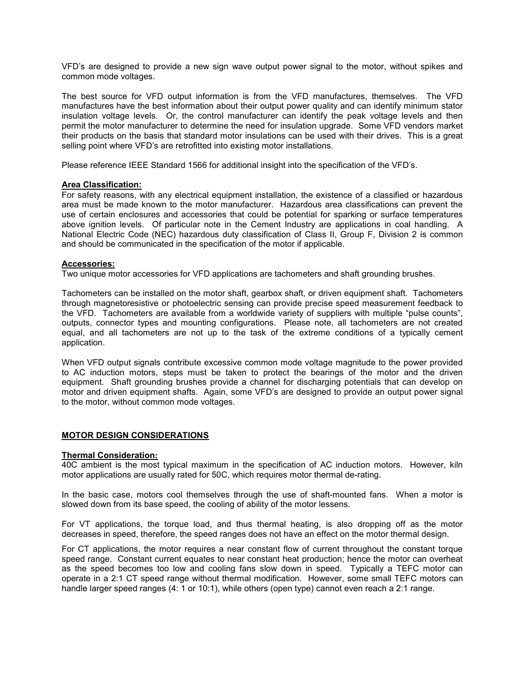VFD's are designed to provide a new sign wave output power signal to the motor, without spikes and common mode voltages.

The best source for VFD output information is from the VFD manufactures, themselves. The VFD manufactures have the best information about their output power quality and can identify minimum stator insulation voltage levels. Or, the control manufacturer can identify the peak voltage levels and then permit the motor manufacturer to determine the need for insulation upgrade. Some VFD vendors market their products on the basis that standard motor insulations can be used with their drives. This is a great selling point where VFD's are retrofitted into existing motor installations.

Please reference IEEE Standard 1566 for additional insight into the specification of the VFD's.

#### **Area Classification:**

For safety reasons, with any electrical equipment installation, the existence of a classified or hazardous area must be made known to the motor manufacturer. Hazardous area classifications can prevent the use of certain enclosures and accessories that could be potential for sparking or surface temperatures above ignition levels. Of particular note in the Cement Industry are applications in coal handling. A National Electric Code (NEC) hazardous duty classification of Class II, Group F, Division 2 is common and should be communicated in the specification of the motor if applicable.

#### **Accessories:**

Two unique motor accessories for VFD applications are tachometers and shaft grounding brushes.

Tachometers can be installed on the motor shaft, gearbox shaft, or driven equipment shaft. Tachometers through magnetoresistive or photoelectric sensing can provide precise speed measurement feedback to the VFD. Tachometers are available from a worldwide variety of suppliers with multiple "pulse counts", outputs, connector types and mounting configurations. Please note, all tachometers are not created equal, and all tachometers are not up to the task of the extreme conditions of a typically cement application.

When VFD output signals contribute excessive common mode voltage magnitude to the power provided to AC induction motors, steps must be taken to protect the bearings of the motor and the driven equipment. Shaft grounding brushes provide a channel for discharging potentials that can develop on motor and driven equipment shafts. Again, some VFD's are designed to provide an output power signal to the motor, without common mode voltages.

#### **MOTOR DESIGN CONSIDERATIONS**

#### **Thermal Consideration:**

40C ambient is the most typical maximum in the specification of AC induction motors. However, kiln motor applications are usually rated for 50C, which requires motor thermal de-rating.

In the basic case, motors cool themselves through the use of shaft-mounted fans. When a motor is slowed down from its base speed, the cooling of ability of the motor lessens.

For VT applications, the torque load, and thus thermal heating, is also dropping off as the motor decreases in speed, therefore, the speed ranges does not have an effect on the motor thermal design.

For CT applications, the motor requires a near constant flow of current throughout the constant torque speed range. Constant current equates to near constant heat production; hence the motor can overheat as the speed becomes too low and cooling fans slow down in speed. Typically a TEFC motor can operate in a 2:1 CT speed range without thermal modification. However, some small TEFC motors can handle larger speed ranges (4: 1 or 10:1), while others (open type) cannot even reach a 2:1 range.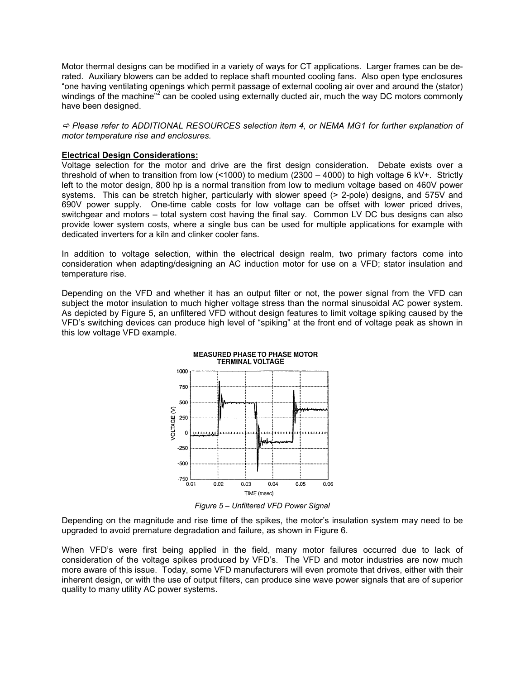Motor thermal designs can be modified in a variety of ways for CT applications. Larger frames can be derated. Auxiliary blowers can be added to replace shaft mounted cooling fans. Also open type enclosures "one having ventilating openings which permit passage of external cooling air over and around the (stator) windings of the machine<sup>32</sup> can be cooled using externally ducted air, much the way DC motors commonly have been designed.

<sup>Ö</sup> *Please refer to ADDITIONAL RESOURCES selection item 4, or NEMA MG1 for further explanation of motor temperature rise and enclosures.* 

#### **Electrical Design Considerations:**

Voltage selection for the motor and drive are the first design consideration. Debate exists over a threshold of when to transition from low (<1000) to medium (2300 – 4000) to high voltage 6 kV+. Strictly left to the motor design, 800 hp is a normal transition from low to medium voltage based on 460V power systems. This can be stretch higher, particularly with slower speed (> 2-pole) designs, and 575V and 690V power supply. One-time cable costs for low voltage can be offset with lower priced drives, switchgear and motors – total system cost having the final say. Common LV DC bus designs can also provide lower system costs, where a single bus can be used for multiple applications for example with dedicated inverters for a kiln and clinker cooler fans.

In addition to voltage selection, within the electrical design realm, two primary factors come into consideration when adapting/designing an AC induction motor for use on a VFD; stator insulation and temperature rise.

Depending on the VFD and whether it has an output filter or not, the power signal from the VFD can subject the motor insulation to much higher voltage stress than the normal sinusoidal AC power system. As depicted by Figure 5, an unfiltered VFD without design features to limit voltage spiking caused by the VFD's switching devices can produce high level of "spiking" at the front end of voltage peak as shown in this low voltage VFD example.



*Figure 5 – Unfiltered VFD Power Signal* 

Depending on the magnitude and rise time of the spikes, the motor's insulation system may need to be upgraded to avoid premature degradation and failure, as shown in Figure 6.

When VFD's were first being applied in the field, many motor failures occurred due to lack of consideration of the voltage spikes produced by VFD's. The VFD and motor industries are now much more aware of this issue. Today, some VFD manufacturers will even promote that drives, either with their inherent design, or with the use of output filters, can produce sine wave power signals that are of superior quality to many utility AC power systems.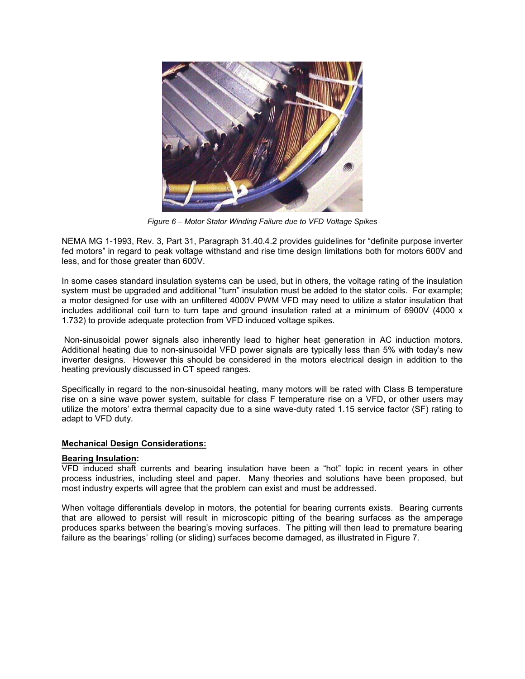

*Figure 6 – Motor Stator Winding Failure due to VFD Voltage Spikes* 

NEMA MG 1-1993, Rev. 3, Part 31, Paragraph 31.40.4.2 provides guidelines for "definite purpose inverter fed motors" in regard to peak voltage withstand and rise time design limitations both for motors 600V and less, and for those greater than 600V.

In some cases standard insulation systems can be used, but in others, the voltage rating of the insulation system must be upgraded and additional "turn" insulation must be added to the stator coils. For example; a motor designed for use with an unfiltered 4000V PWM VFD may need to utilize a stator insulation that includes additional coil turn to turn tape and ground insulation rated at a minimum of 6900V (4000 x 1.732) to provide adequate protection from VFD induced voltage spikes.

 Non-sinusoidal power signals also inherently lead to higher heat generation in AC induction motors. Additional heating due to non-sinusoidal VFD power signals are typically less than 5% with today's new inverter designs. However this should be considered in the motors electrical design in addition to the heating previously discussed in CT speed ranges.

Specifically in regard to the non-sinusoidal heating, many motors will be rated with Class B temperature rise on a sine wave power system, suitable for class F temperature rise on a VFD, or other users may utilize the motors' extra thermal capacity due to a sine wave-duty rated 1.15 service factor (SF) rating to adapt to VFD duty.

#### **Mechanical Design Considerations:**

#### **Bearing Insulation:**

VFD induced shaft currents and bearing insulation have been a "hot" topic in recent years in other process industries, including steel and paper. Many theories and solutions have been proposed, but most industry experts will agree that the problem can exist and must be addressed.

When voltage differentials develop in motors, the potential for bearing currents exists. Bearing currents that are allowed to persist will result in microscopic pitting of the bearing surfaces as the amperage produces sparks between the bearing's moving surfaces. The pitting will then lead to premature bearing failure as the bearings' rolling (or sliding) surfaces become damaged, as illustrated in Figure 7.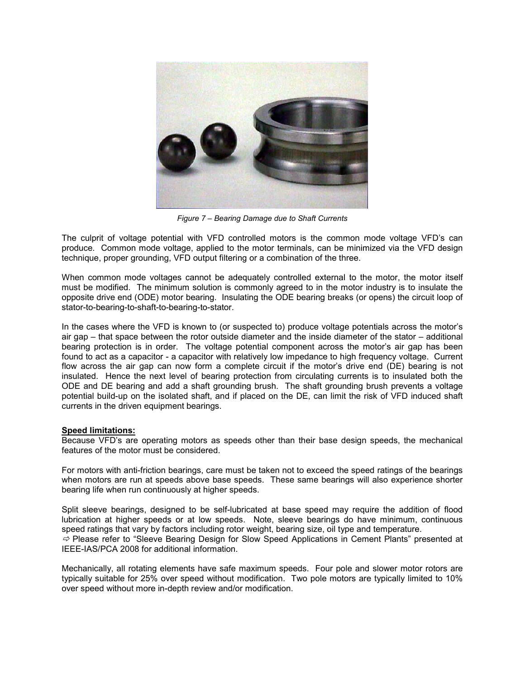

*Figure 7 – Bearing Damage due to Shaft Currents* 

The culprit of voltage potential with VFD controlled motors is the common mode voltage VFD's can produce. Common mode voltage, applied to the motor terminals, can be minimized via the VFD design technique, proper grounding, VFD output filtering or a combination of the three.

When common mode voltages cannot be adequately controlled external to the motor, the motor itself must be modified. The minimum solution is commonly agreed to in the motor industry is to insulate the opposite drive end (ODE) motor bearing. Insulating the ODE bearing breaks (or opens) the circuit loop of stator-to-bearing-to-shaft-to-bearing-to-stator.

In the cases where the VFD is known to (or suspected to) produce voltage potentials across the motor's air gap – that space between the rotor outside diameter and the inside diameter of the stator – additional bearing protection is in order. The voltage potential component across the motor's air gap has been found to act as a capacitor - a capacitor with relatively low impedance to high frequency voltage. Current flow across the air gap can now form a complete circuit if the motor's drive end (DE) bearing is not insulated. Hence the next level of bearing protection from circulating currents is to insulated both the ODE and DE bearing and add a shaft grounding brush. The shaft grounding brush prevents a voltage potential build-up on the isolated shaft, and if placed on the DE, can limit the risk of VFD induced shaft currents in the driven equipment bearings.

#### **Speed limitations:**

Because VFD's are operating motors as speeds other than their base design speeds, the mechanical features of the motor must be considered.

For motors with anti-friction bearings, care must be taken not to exceed the speed ratings of the bearings when motors are run at speeds above base speeds. These same bearings will also experience shorter bearing life when run continuously at higher speeds.

Split sleeve bearings, designed to be self-lubricated at base speed may require the addition of flood lubrication at higher speeds or at low speeds. Note, sleeve bearings do have minimum, continuous speed ratings that vary by factors including rotor weight, bearing size, oil type and temperature.  $\varphi$  Please refer to "Sleeve Bearing Design for Slow Speed Applications in Cement Plants" presented at IEEE-IAS/PCA 2008 for additional information.

Mechanically, all rotating elements have safe maximum speeds. Four pole and slower motor rotors are typically suitable for 25% over speed without modification. Two pole motors are typically limited to 10% over speed without more in-depth review and/or modification.